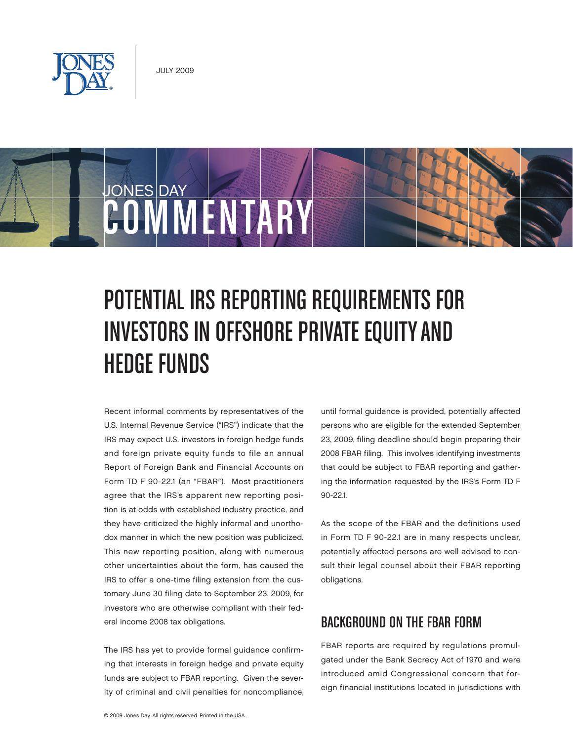

COMMENTARY

JONES DAY



# Investors in Offshore Private Equityand Hedge Funds

Recent informal comments by representatives of the U.S. Internal Revenue Service ("IRS") indicate that the IRS may expect U.S. investors in foreign hedge funds and foreign private equity funds to file an annual Report of Foreign Bank and Financial Accounts on Form TD F 90-22.1 (an "FBAR"). Most practitioners agree that the IRS's apparent new reporting position is at odds with established industry practice, and they have criticized the highly informal and unorthodox manner in which the new position was publicized. This new reporting position, along with numerous other uncertainties about the form, has caused the IRS to offer a one-time filing extension from the customary June 30 filing date to September 23, 2009, for investors who are otherwise compliant with their federal income 2008 tax obligations.

The IRS has yet to provide formal guidance confirming that interests in foreign hedge and private equity funds are subject to FBAR reporting. Given the severity of criminal and civil penalties for noncompliance, until formal guidance is provided, potentially affected persons who are eligible for the extended September 23, 2009, filing deadline should begin preparing their 2008 FBAR filing. This involves identifying investments that could be subject to FBAR reporting and gathering the information requested by the IRS's Form TD F 90-22.1.

As the scope of the FBAR and the definitions used in Form TD F 90-22.1 are in many respects unclear, potentially affected persons are well advised to consult their legal counsel about their FBAR reporting obligations.

## BACKGROUND ON THE FBAR FORM

FBAR reports are required by regulations promulgated under the Bank Secrecy Act of 1970 and were introduced amid Congressional concern that foreign financial institutions located in jurisdictions with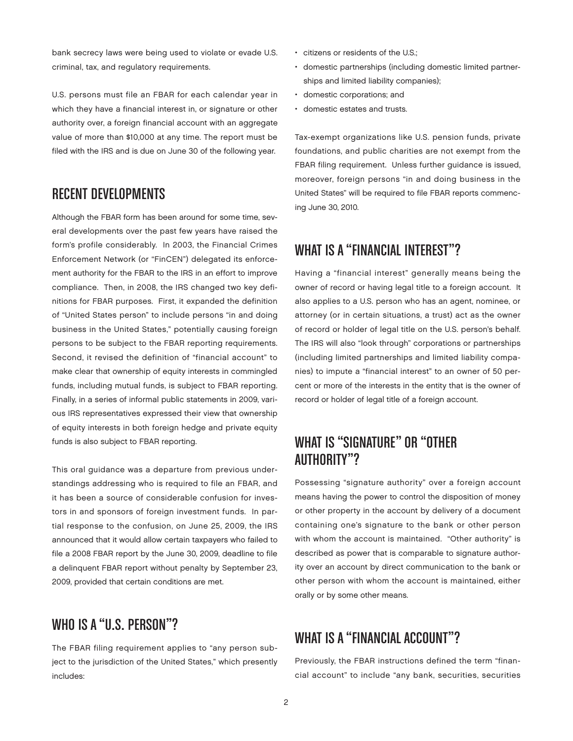bank secrecy laws were being used to violate or evade U.S. criminal, tax, and regulatory requirements.

U.S. persons must file an FBAR for each calendar year in which they have a financial interest in, or signature or other authority over, a foreign financial account with an aggregate value of more than \$10,000 at any time. The report must be filed with the IRS and is due on June 30 of the following year.

#### Recent Developments

Although the FBAR form has been around for some time, several developments over the past few years have raised the form's profile considerably. In 2003, the Financial Crimes Enforcement Network (or "FinCEN") delegated its enforcement authority for the FBAR to the IRS in an effort to improve compliance. Then, in 2008, the IRS changed two key definitions for FBAR purposes. First, it expanded the definition of "United States person" to include persons "in and doing business in the United States," potentially causing foreign persons to be subject to the FBAR reporting requirements. Second, it revised the definition of "financial account" to make clear that ownership of equity interests in commingled funds, including mutual funds, is subject to FBAR reporting. Finally, in a series of informal public statements in 2009, various IRS representatives expressed their view that ownership of equity interests in both foreign hedge and private equity funds is also subject to FBAR reporting.

This oral guidance was a departure from previous understandings addressing who is required to file an FBAR, and it has been a source of considerable confusion for investors in and sponsors of foreign investment funds. In partial response to the confusion, on June 25, 2009, the IRS announced that it would allow certain taxpayers who failed to file a 2008 FBAR report by the June 30, 2009, deadline to file a delinquent FBAR report without penalty by September 23, 2009, provided that certain conditions are met.

#### WHO IS A "U.S. PERSON"?

The FBAR filing requirement applies to "any person subject to the jurisdiction of the United States," which presently includes:

- • citizens or residents of the U.S.;
- • domestic partnerships (including domestic limited partnerships and limited liability companies);
- • domestic corporations; and
- • domestic estates and trusts.

Tax-exempt organizations like U.S. pension funds, private foundations, and public charities are not exempt from the FBAR filing requirement. Unless further guidance is issued, moreover, foreign persons "in and doing business in the United States" will be required to file FBAR reports commencing June 30, 2010.

## WHAT IS A "FINANCIAL INTEREST"?

Having a "financial interest" generally means being the owner of record or having legal title to a foreign account. It also applies to a U.S. person who has an agent, nominee, or attorney (or in certain situations, a trust) act as the owner of record or holder of legal title on the U.S. person's behalf. The IRS will also "look through" corporations or partnerships (including limited partnerships and limited liability companies) to impute a "financial interest" to an owner of 50 percent or more of the interests in the entity that is the owner of record or holder of legal title of a foreign account.

## WHAT IS "SIGNATURF" OR "OTHER Authority"?

Possessing "signature authority" over a foreign account means having the power to control the disposition of money or other property in the account by delivery of a document containing one's signature to the bank or other person with whom the account is maintained. "Other authority" is described as power that is comparable to signature authority over an account by direct communication to the bank or other person with whom the account is maintained, either orally or by some other means.

## WHAT IS A "FINANCIAL ACCOUNT"?

Previously, the FBAR instructions defined the term "financial account" to include "any bank, securities, securities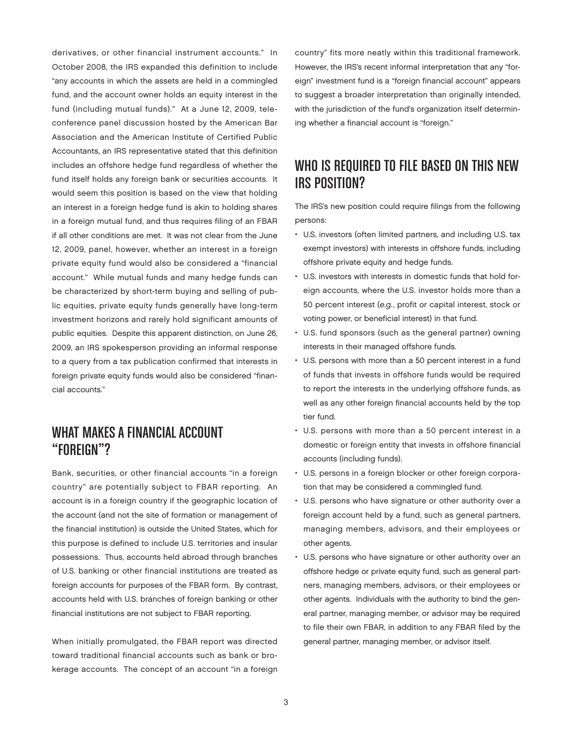derivatives, or other financial instrument accounts." In October 2008, the IRS expanded this definition to include "any accounts in which the assets are held in a commingled fund, and the account owner holds an equity interest in the fund (including mutual funds)." At a June 12, 2009, teleconference panel discussion hosted by the American Bar Association and the American Institute of Certified Public Accountants, an IRS representative stated that this definition includes an offshore hedge fund regardless of whether the fund itself holds any foreign bank or securities accounts. It would seem this position is based on the view that holding an interest in a foreign hedge fund is akin to holding shares in a foreign mutual fund, and thus requires filing of an FBAR if all other conditions are met. It was not clear from the June 12, 2009, panel, however, whether an interest in a foreign private equity fund would also be considered a "financial account." While mutual funds and many hedge funds can be characterized by short-term buying and selling of public equities, private equity funds generally have long-term investment horizons and rarely hold significant amounts of public equities. Despite this apparent distinction, on June 26, 2009, an IRS spokesperson providing an informal response to a query from a tax publication confirmed that interests in foreign private equity funds would also be considered "financial accounts."

#### What Makes a Financial Account "Foreign"?

Bank, securities, or other financial accounts "in a foreign country" are potentially subject to FBAR reporting. An account is in a foreign country if the geographic location of the account (and not the site of formation or management of the financial institution) is outside the United States, which for this purpose is defined to include U.S. territories and insular possessions. Thus, accounts held abroad through branches of U.S. banking or other financial institutions are treated as foreign accounts for purposes of the FBAR form. By contrast, accounts held with U.S. branches of foreign banking or other financial institutions are not subject to FBAR reporting.

When initially promulgated, the FBAR report was directed toward traditional financial accounts such as bank or brokerage accounts. The concept of an account "in a foreign country" fits more neatly within this traditional framework. However, the IRS's recent informal interpretation that any "foreign" investment fund is a "foreign financial account" appears to suggest a broader interpretation than originally intended, with the jurisdiction of the fund's organization itself determining whether a financial account is "foreign."

## WHO IS REQUIRED TO FILE BASED ON THIS NEW IRS Position?

The IRS's new position could require filings from the following persons:

- • U.S. investors (often limited partners, and including U.S. tax exempt investors) with interests in offshore funds, including offshore private equity and hedge funds.
- U.S. investors with interests in domestic funds that hold foreign accounts, where the U.S. investor holds more than a 50 percent interest (e.g., profit or capital interest, stock or voting power, or beneficial interest) in that fund.
- • U.S. fund sponsors (such as the general partner) owning interests in their managed offshore funds.
- • U.S. persons with more than a 50 percent interest in a fund of funds that invests in offshore funds would be required to report the interests in the underlying offshore funds, as well as any other foreign financial accounts held by the top tier fund.
- • U.S. persons with more than a 50 percent interest in a domestic or foreign entity that invests in offshore financial accounts (including funds).
- U.S. persons in a foreign blocker or other foreign corporation that may be considered a commingled fund.
- • U.S. persons who have signature or other authority over a foreign account held by a fund, such as general partners, managing members, advisors, and their employees or other agents.
- • U.S. persons who have signature or other authority over an offshore hedge or private equity fund, such as general partners, managing members, advisors, or their employees or other agents. Individuals with the authority to bind the general partner, managing member, or advisor may be required to file their own FBAR, in addition to any FBAR filed by the general partner, managing member, or advisor itself.